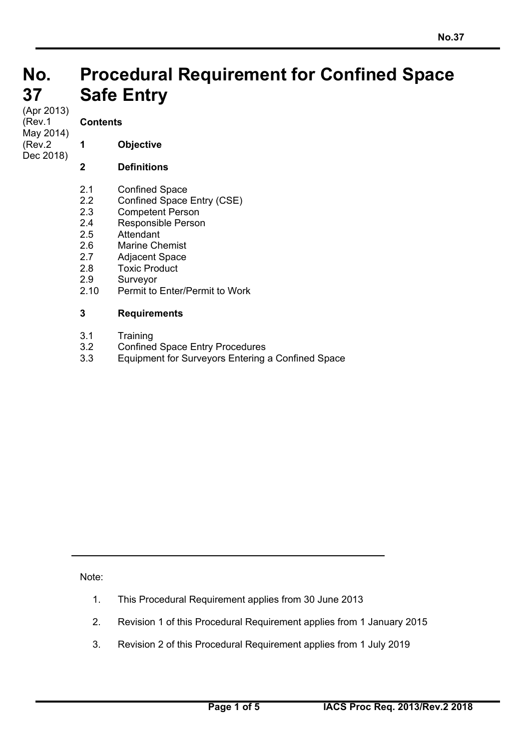#### **No. No. 37 37 Procedural Requirement for Confined Space Safe Entry**

(Apr 2013) (Rev.1 May 2014) (Rev.2 Dec 2018)

# **Contents**

**1 Objective** 

## **2 Definitions**

- 2.1 Confined Space
- 2.2 Confined Space Entry (CSE)
- 2.3 Competent Person
- 2.4 Responsible Person
- 2.5 Attendant
- 2.6 Marine Chemist
- 2.7 Adjacent Space
- 2.8 Toxic Product
- 2.9 Surveyor
- 2.10 Permit to Enter/Permit to Work

## **3 Requirements**

- 3.1 Training
- 3.2 Confined Space Entry Procedures
- 3.3 Equipment for Surveyors Entering a Confined Space

Note:

 $\overline{a}$ 

- 1. This Procedural Requirement applies from 30 June 2013
- 2. Revision 1 of this Procedural Requirement applies from 1 January 2015
- 3. Revision 2 of this Procedural Requirement applies from 1 July 2019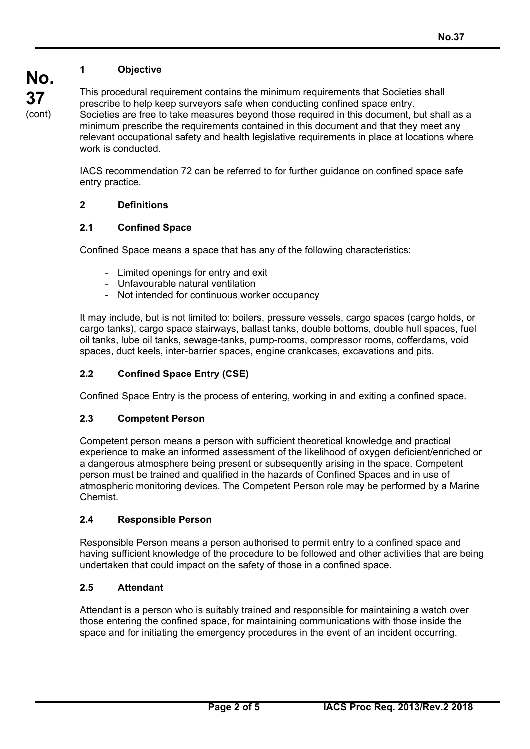# **1 Objective**

**No. 37**  (cont)

This procedural requirement contains the minimum requirements that Societies shall prescribe to help keep surveyors safe when conducting confined space entry. Societies are free to take measures beyond those required in this document, but shall as a minimum prescribe the requirements contained in this document and that they meet any relevant occupational safety and health legislative requirements in place at locations where work is conducted.

IACS recommendation 72 can be referred to for further guidance on confined space safe entry practice.

## **2 Definitions**

## **2.1 Confined Space**

Confined Space means a space that has any of the following characteristics:

- Limited openings for entry and exit
- Unfavourable natural ventilation
- Not intended for continuous worker occupancy

It may include, but is not limited to: boilers, pressure vessels, cargo spaces (cargo holds, or cargo tanks), cargo space stairways, ballast tanks, double bottoms, double hull spaces, fuel oil tanks, lube oil tanks, sewage-tanks, pump-rooms, compressor rooms, cofferdams, void spaces, duct keels, inter-barrier spaces, engine crankcases, excavations and pits.

## **2.2 Confined Space Entry (CSE)**

Confined Space Entry is the process of entering, working in and exiting a confined space.

#### **2.3 Competent Person**

Competent person means a person with sufficient theoretical knowledge and practical experience to make an informed assessment of the likelihood of oxygen deficient/enriched or a dangerous atmosphere being present or subsequently arising in the space. Competent person must be trained and qualified in the hazards of Confined Spaces and in use of atmospheric monitoring devices. The Competent Person role may be performed by a Marine **Chemist** 

#### **2.4 Responsible Person**

Responsible Person means a person authorised to permit entry to a confined space and having sufficient knowledge of the procedure to be followed and other activities that are being undertaken that could impact on the safety of those in a confined space.

#### **2.5 Attendant**

 $\overline{a}$ 

Attendant is a person who is suitably trained and responsible for maintaining a watch over those entering the confined space, for maintaining communications with those inside the space and for initiating the emergency procedures in the event of an incident occurring.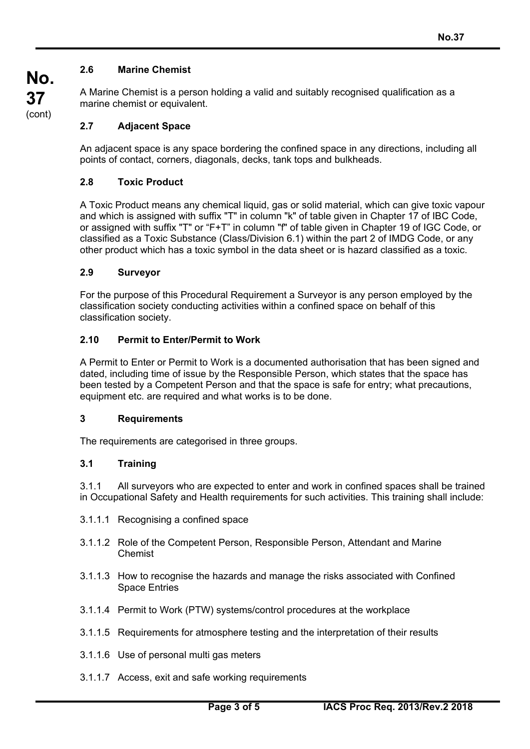## **2.6 Marine Chemist**

A Marine Chemist is a person holding a valid and suitably recognised qualification as a marine chemist or equivalent.

## **2.7 Adjacent Space**

An adjacent space is any space bordering the confined space in any directions, including all points of contact, corners, diagonals, decks, tank tops and bulkheads.

#### **2.8 Toxic Product**

A Toxic Product means any chemical liquid, gas or solid material, which can give toxic vapour and which is assigned with suffix "T" in column "k" of table given in Chapter 17 of IBC Code, or assigned with suffix "T" or "F+T" in column "f" of table given in Chapter 19 of IGC Code, or classified as a Toxic Substance (Class/Division 6.1) within the part 2 of IMDG Code, or any other product which has a toxic symbol in the data sheet or is hazard classified as a toxic.

## **2.9 Surveyor**

For the purpose of this Procedural Requirement a Surveyor is any person employed by the classification society conducting activities within a confined space on behalf of this classification society.

#### **2.10 Permit to Enter/Permit to Work**

A Permit to Enter or Permit to Work is a documented authorisation that has been signed and dated, including time of issue by the Responsible Person, which states that the space has been tested by a Competent Person and that the space is safe for entry; what precautions, equipment etc. are required and what works is to be done.

#### **3 Requirements**

The requirements are categorised in three groups.

#### **3.1 Training**

 $\overline{a}$ 

3.1.1 All surveyors who are expected to enter and work in confined spaces shall be trained in Occupational Safety and Health requirements for such activities. This training shall include:

- 3.1.1.1 Recognising a confined space
- 3.1.1.2 Role of the Competent Person, Responsible Person, Attendant and Marine Chemist
- 3.1.1.3 How to recognise the hazards and manage the risks associated with Confined Space Entries
- 3.1.1.4 Permit to Work (PTW) systems/control procedures at the workplace
- 3.1.1.5 Requirements for atmosphere testing and the interpretation of their results
- 3.1.1.6 Use of personal multi gas meters
- 3.1.1.7 Access, exit and safe working requirements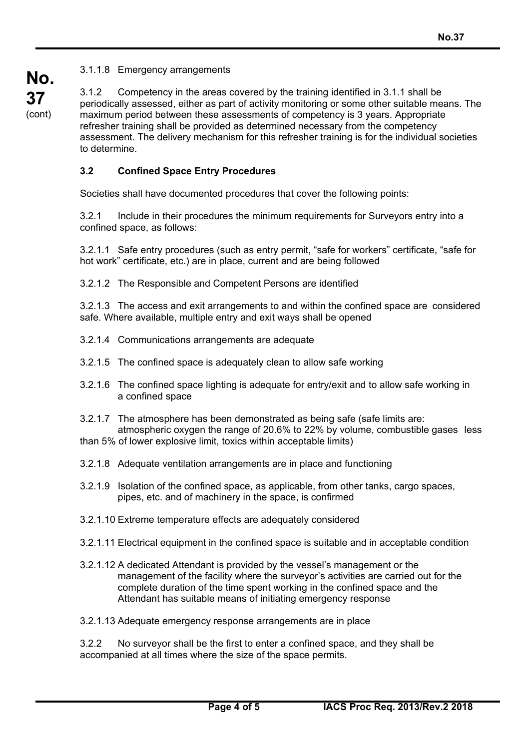3.1.1.8 Emergency arrangements

3.1.2 Competency in the areas covered by the training identified in 3.1.1 shall be periodically assessed, either as part of activity monitoring or some other suitable means. The maximum period between these assessments of competency is 3 years. Appropriate refresher training shall be provided as determined necessary from the competency assessment. The delivery mechanism for this refresher training is for the individual societies to determine.

## **3.2 Confined Space Entry Procedures**

Societies shall have documented procedures that cover the following points:

3.2.1 Include in their procedures the minimum requirements for Surveyors entry into a confined space, as follows:

3.2.1.1 Safe entry procedures (such as entry permit, "safe for workers" certificate, "safe for hot work" certificate, etc.) are in place, current and are being followed

3.2.1.2 The Responsible and Competent Persons are identified

3.2.1.3 The access and exit arrangements to and within the confined space are considered safe. Where available, multiple entry and exit ways shall be opened

- 3.2.1.4 Communications arrangements are adequate
- 3.2.1.5 The confined space is adequately clean to allow safe working
- 3.2.1.6 The confined space lighting is adequate for entry/exit and to allow safe working in a confined space
- 3.2.1.7 The atmosphere has been demonstrated as being safe (safe limits are: atmospheric oxygen the range of 20.6% to 22% by volume, combustible gases less than 5% of lower explosive limit, toxics within acceptable limits)
- 3.2.1.8 Adequate ventilation arrangements are in place and functioning
- 3.2.1.9 Isolation of the confined space, as applicable, from other tanks, cargo spaces, pipes, etc. and of machinery in the space, is confirmed
- 3.2.1.10 Extreme temperature effects are adequately considered
- 3.2.1.11 Electrical equipment in the confined space is suitable and in acceptable condition
- 3.2.1.12 A dedicated Attendant is provided by the vessel's management or the management of the facility where the surveyor's activities are carried out for the complete duration of the time spent working in the confined space and the Attendant has suitable means of initiating emergency response

3.2.1.13 Adequate emergency response arrangements are in place

3.2.2 No surveyor shall be the first to enter a confined space, and they shall be accompanied at all times where the size of the space permits.

 $\overline{a}$